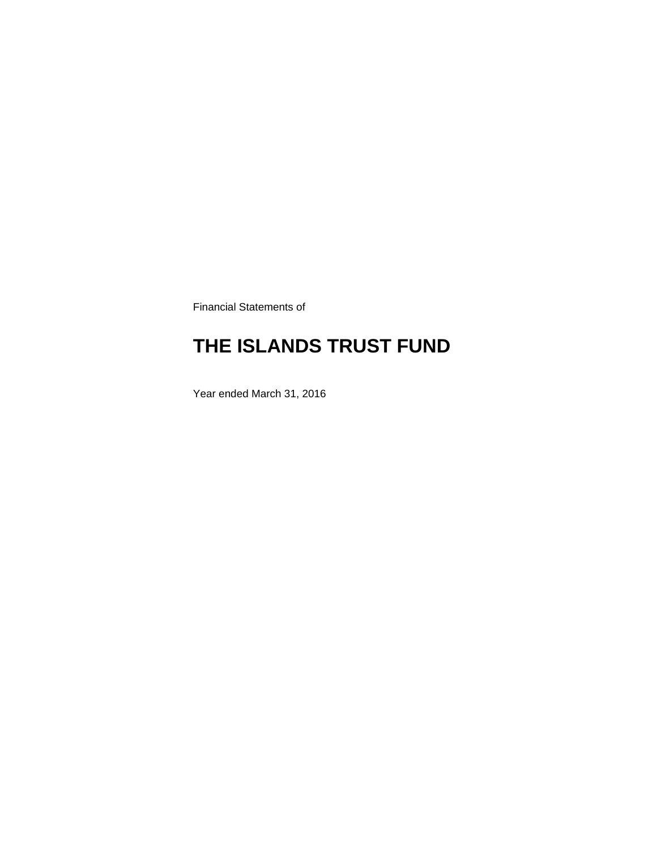Financial Statements of

# **THE ISLANDS TRUST FUND**

Year ended March 31, 2016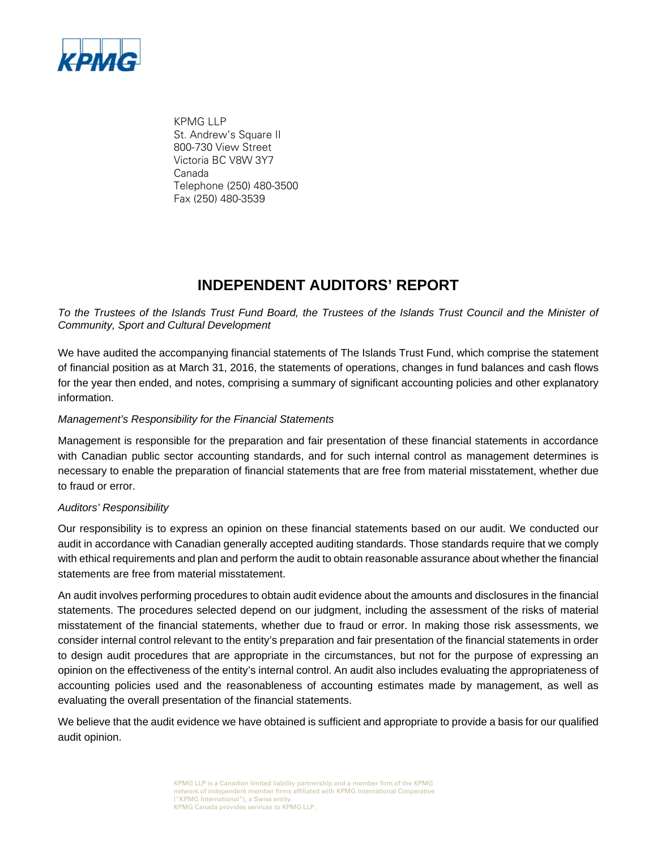

KPMG LLP St. Andrew's Square II 800-730 View Street Victoria BC V8W 3Y7 Canada Telephone (250) 480-3500 Fax (250) 480-3539

### **INDEPENDENT AUDITORS' REPORT**

*To the Trustees of the Islands Trust Fund Board, the Trustees of the Islands Trust Council and the Minister of Community, Sport and Cultural Development* 

We have audited the accompanying financial statements of The Islands Trust Fund, which comprise the statement of financial position as at March 31, 2016, the statements of operations, changes in fund balances and cash flows for the year then ended, and notes, comprising a summary of significant accounting policies and other explanatory information.

#### *Management's Responsibility for the Financial Statements*

Management is responsible for the preparation and fair presentation of these financial statements in accordance with Canadian public sector accounting standards, and for such internal control as management determines is necessary to enable the preparation of financial statements that are free from material misstatement, whether due to fraud or error.

#### *Auditors' Responsibility*

Our responsibility is to express an opinion on these financial statements based on our audit. We conducted our audit in accordance with Canadian generally accepted auditing standards. Those standards require that we comply with ethical requirements and plan and perform the audit to obtain reasonable assurance about whether the financial statements are free from material misstatement.

An audit involves performing procedures to obtain audit evidence about the amounts and disclosures in the financial statements. The procedures selected depend on our judgment, including the assessment of the risks of material misstatement of the financial statements, whether due to fraud or error. In making those risk assessments, we consider internal control relevant to the entity's preparation and fair presentation of the financial statements in order to design audit procedures that are appropriate in the circumstances, but not for the purpose of expressing an opinion on the effectiveness of the entity's internal control. An audit also includes evaluating the appropriateness of accounting policies used and the reasonableness of accounting estimates made by management, as well as evaluating the overall presentation of the financial statements.

We believe that the audit evidence we have obtained is sufficient and appropriate to provide a basis for our qualified audit opinion.

> KPMG LLP is a Canadian limited liability partnership and a member firm of the KPMG network of independent member firms affiliated with KPMG International Cooperative ("KPMG International"), a Swiss entity. KPMG Canada provides services to KPMG LLP.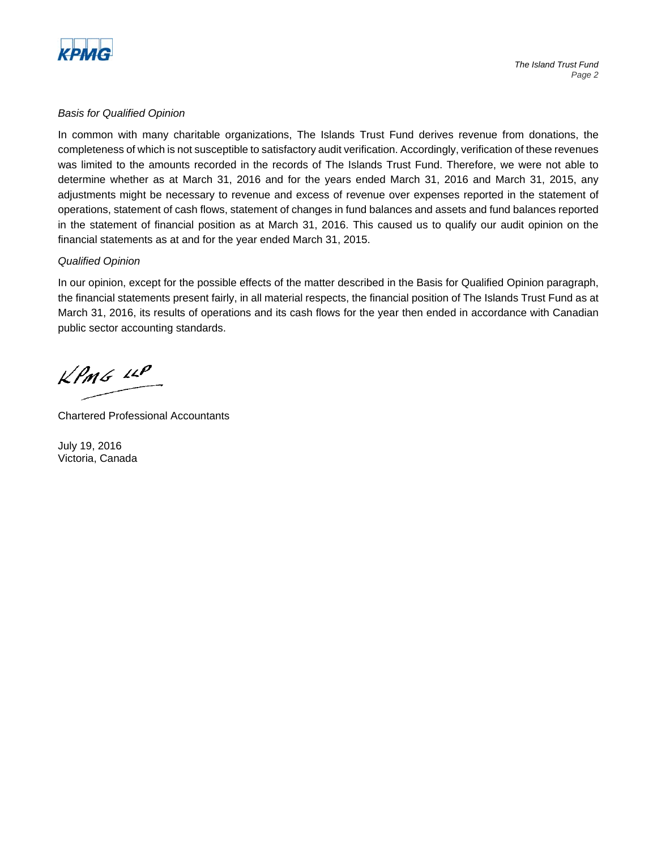

#### *Basis for Qualified Opinion*

In common with many charitable organizations, The Islands Trust Fund derives revenue from donations, the completeness of which is not susceptible to satisfactory audit verification. Accordingly, verification of these revenues was limited to the amounts recorded in the records of The Islands Trust Fund. Therefore, we were not able to determine whether as at March 31, 2016 and for the years ended March 31, 2016 and March 31, 2015, any adjustments might be necessary to revenue and excess of revenue over expenses reported in the statement of operations, statement of cash flows, statement of changes in fund balances and assets and fund balances reported in the statement of financial position as at March 31, 2016. This caused us to qualify our audit opinion on the financial statements as at and for the year ended March 31, 2015.

#### *Qualified Opinion*

In our opinion, except for the possible effects of the matter described in the Basis for Qualified Opinion paragraph, the financial statements present fairly, in all material respects, the financial position of The Islands Trust Fund as at March 31, 2016, its results of operations and its cash flows for the year then ended in accordance with Canadian public sector accounting standards.

 $KPMS$   $\mu P$ 

Chartered Professional Accountants

July 19, 2016 Victoria, Canada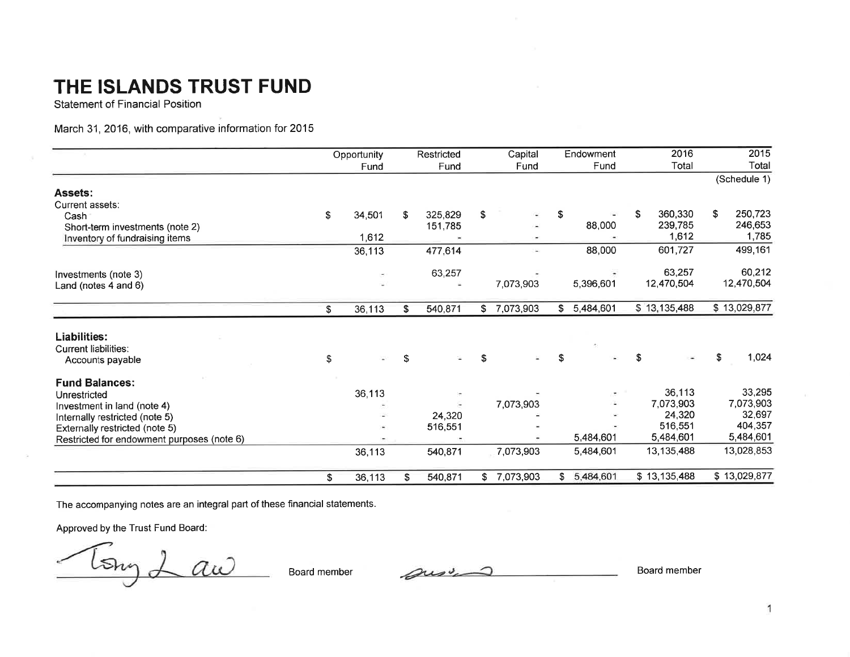**Statement of Financial Position** 

March 31, 2016, with comparative information for 2015

|                                            | Opportunity |                          | Restricted<br>Capital |         |    |           |     | Endowment | 2016          | 2015          |
|--------------------------------------------|-------------|--------------------------|-----------------------|---------|----|-----------|-----|-----------|---------------|---------------|
|                                            |             | Fund                     |                       | Fund    |    | Fund      |     | Fund      | Total         | Total         |
|                                            |             |                          |                       |         |    |           |     |           |               | (Schedule 1)  |
| Assets:                                    |             |                          |                       |         |    |           |     |           |               |               |
| Current assets:                            |             |                          |                       |         |    |           |     |           |               |               |
| Cash                                       | \$          | 34,501                   | \$                    | 325,829 | \$ |           | \$  |           | 360,330<br>\$ | \$<br>250,723 |
| Short-term investments (note 2)            |             |                          |                       | 151,785 |    | $\sim$    |     | 88,000    | 239,785       | 246,653       |
| Inventory of fundraising items             |             | 1,612                    |                       |         |    |           |     |           | 1,612         | 1,785         |
|                                            |             | 36,113                   |                       | 477,614 |    | ¥.        |     | 88,000    | 601,727       | 499,161       |
| Investments (note 3)                       |             | $\overline{\phantom{a}}$ |                       | 63,257  |    |           |     |           | 63,257        | 60,212        |
| Land (notes $4$ and $6$ )                  |             |                          |                       |         |    | 7,073,903 |     | 5,396,601 | 12,470,504    | 12,470,504    |
|                                            | \$          | 36,113                   | \$                    | 540,871 | \$ | 7,073,903 | \$  | 5,484,601 | \$13,135,488  | \$13,029,877  |
| Liabilities:                               |             |                          |                       |         |    |           |     |           |               |               |
| <b>Current liabilities:</b>                |             |                          |                       |         |    |           |     |           |               |               |
| Accounts payable                           | \$          |                          | S                     |         | \$ |           | \$. |           |               | 1,024<br>\$   |
| <b>Fund Balances:</b>                      |             |                          |                       |         |    |           |     |           |               |               |
| Unrestricted                               |             | 36,113                   |                       |         |    |           |     |           | 36,113        | 33,295        |
| Investment in land (note 4)                |             |                          |                       |         |    | 7,073,903 |     |           | 7,073,903     | 7,073,903     |
| Internally restricted (note 5)             |             |                          |                       | 24,320  |    |           |     |           | 24,320        | 32,697        |
| Externally restricted (note 5)             |             |                          |                       | 516,551 |    |           |     |           | 516,551       | 404,357       |
| Restricted for endowment purposes (note 6) |             |                          |                       |         |    |           |     | 5,484,601 | 5,484,601     | 5,484,601     |
|                                            |             | 36,113                   |                       | 540,871 |    | 7,073,903 |     | 5,484,601 | 13,135,488    | 13,028,853    |
|                                            | \$          | 36,113                   | S.                    | 540,871 | \$ | 7,073,903 | \$  | 5,484,601 | \$13,135,488  | \$13,029,877  |

The accompanying notes are an integral part of these financial statements.

Approved by the Trust Fund Board:

Long 2  $\angle a\omega$ 

Board member

sur

Board member

 $\overline{1}$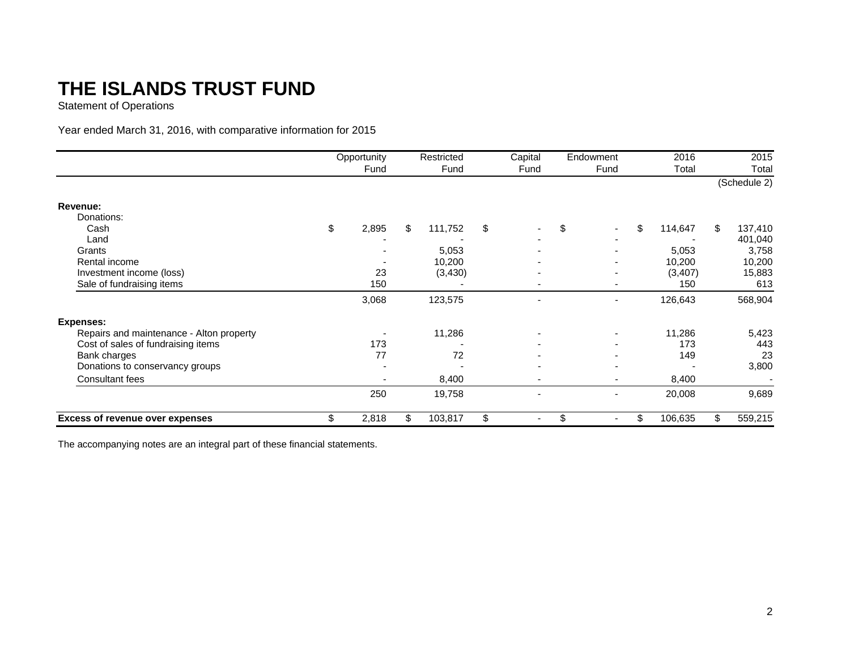Statement of Operations

Year ended March 31, 2016, with comparative information for 2015

|                                          | Opportunity | Restricted    | Capital                  |     | Endowment                | 2016          |     | 2015         |
|------------------------------------------|-------------|---------------|--------------------------|-----|--------------------------|---------------|-----|--------------|
|                                          | Fund        | Fund          | Fund                     |     | Fund                     | Total         |     | Total        |
|                                          |             |               |                          |     |                          |               |     | (Schedule 2) |
| Revenue:                                 |             |               |                          |     |                          |               |     |              |
| Donations:                               |             |               |                          |     |                          |               |     |              |
| Cash                                     | \$<br>2,895 | \$<br>111,752 | \$                       | \$  |                          | \$<br>114,647 | \$. | 137,410      |
| Land                                     |             |               |                          |     |                          |               |     | 401,040      |
| Grants                                   |             | 5,053         |                          |     |                          | 5,053         |     | 3,758        |
| Rental income                            |             | 10,200        |                          |     |                          | 10,200        |     | 10,200       |
| Investment income (loss)                 | 23          | (3,430)       |                          |     | ۰.                       | (3,407)       |     | 15,883       |
| Sale of fundraising items                | 150         |               | $\blacksquare$           |     | ۰                        | 150           |     | 613          |
|                                          | 3,068       | 123,575       | $\overline{\phantom{0}}$ |     | $\overline{\phantom{a}}$ | 126,643       |     | 568,904      |
| <b>Expenses:</b>                         |             |               |                          |     |                          |               |     |              |
| Repairs and maintenance - Alton property |             | 11,286        |                          |     | ٠                        | 11,286        |     | 5,423        |
| Cost of sales of fundraising items       | 173         |               |                          |     |                          | 173           |     | 443          |
| Bank charges                             | 77          | 72            |                          |     |                          | 149           |     | 23           |
| Donations to conservancy groups          |             |               |                          |     | -                        |               |     | 3,800        |
| Consultant fees                          |             | 8,400         | ٠                        |     | ۰                        | 8,400         |     |              |
|                                          | 250         | 19,758        | ٠                        |     |                          | 20,008        |     | 9,689        |
| <b>Excess of revenue over expenses</b>   | \$<br>2,818 | \$<br>103,817 | \$<br>٠                  | \$. | $\blacksquare$           | \$<br>106,635 | \$  | 559,215      |

The accompanying notes are an integral part of these financial statements.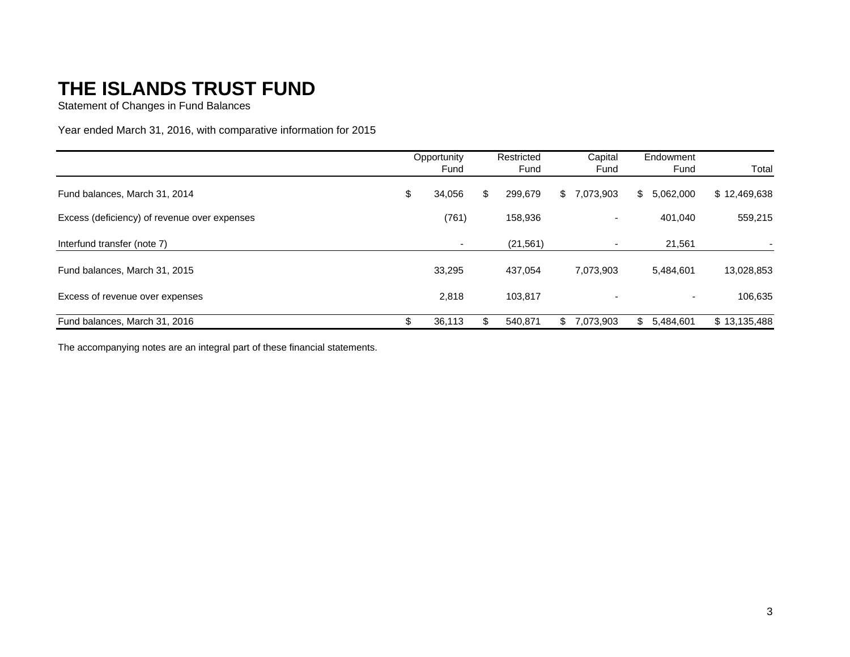Statement of Changes in Fund Balances

Year ended March 31, 2016, with comparative information for 2015

|                                              | Opportunity<br>Fund |                          | Restricted<br>Fund |    | Capital<br>Fund              |    | Endowment<br>Fund        | Total        |  |
|----------------------------------------------|---------------------|--------------------------|--------------------|----|------------------------------|----|--------------------------|--------------|--|
| Fund balances, March 31, 2014                | \$                  | 34,056                   | \$<br>299,679      | S. | ,073,903                     | S. | 5,062,000                | \$12,469,638 |  |
| Excess (deficiency) of revenue over expenses |                     | (761)                    | 158,936            |    | $\qquad \qquad \blacksquare$ |    | 401.040                  | 559,215      |  |
| Interfund transfer (note 7)                  |                     | $\overline{\phantom{a}}$ | (21, 561)          |    | $\overline{\phantom{a}}$     |    | 21,561                   |              |  |
| Fund balances, March 31, 2015                |                     | 33,295                   | 437,054            |    | 7,073,903                    |    | 5,484,601                | 13,028,853   |  |
| Excess of revenue over expenses              |                     | 2,818                    | 103.817            |    | $\overline{\phantom{a}}$     |    | $\overline{\phantom{a}}$ | 106,635      |  |
| Fund balances, March 31, 2016                | \$                  | 36,113                   | 540,871            | \$ | 7.073.903                    | S. | 5,484,601                | \$13,135,488 |  |

The accompanying notes are an integral part of these financial statements.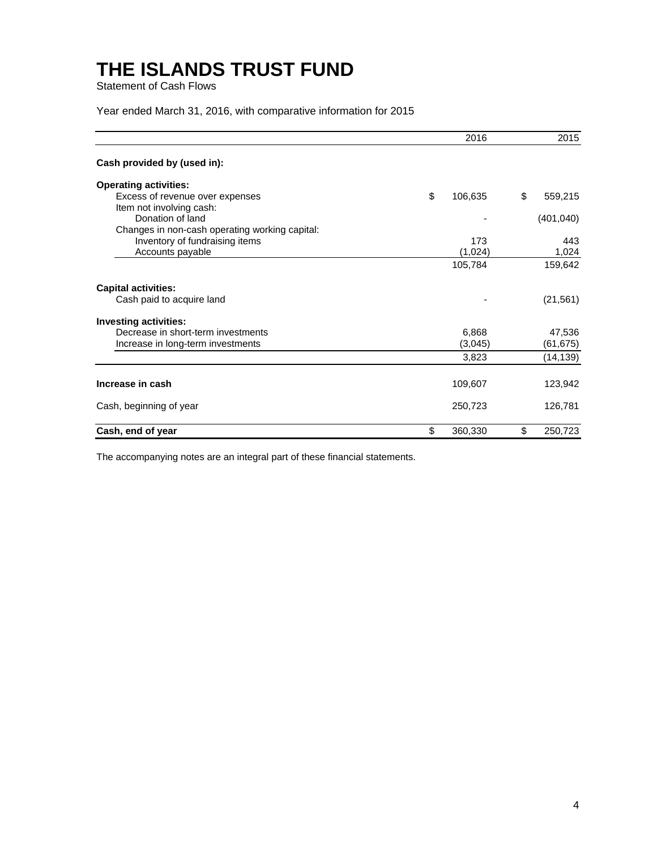Statement of Cash Flows

Year ended March 31, 2016, with comparative information for 2015

|                                                | 2016          | 2015          |
|------------------------------------------------|---------------|---------------|
| Cash provided by (used in):                    |               |               |
| <b>Operating activities:</b>                   |               |               |
| Excess of revenue over expenses                | \$<br>106,635 | \$<br>559,215 |
| Item not involving cash:                       |               |               |
| Donation of land                               |               | (401, 040)    |
| Changes in non-cash operating working capital: |               |               |
| Inventory of fundraising items                 | 173           | 443           |
| Accounts payable                               | (1,024)       | 1,024         |
|                                                | 105,784       | 159,642       |
| <b>Capital activities:</b>                     |               |               |
| Cash paid to acquire land                      |               | (21, 561)     |
| <b>Investing activities:</b>                   |               |               |
| Decrease in short-term investments             | 6,868         | 47,536        |
| Increase in long-term investments              | (3,045)       | (61, 675)     |
|                                                | 3,823         | (14, 139)     |
| Increase in cash                               | 109,607       | 123,942       |
| Cash, beginning of year                        | 250,723       | 126,781       |
| Cash, end of year                              | \$<br>360,330 | \$<br>250,723 |

The accompanying notes are an integral part of these financial statements.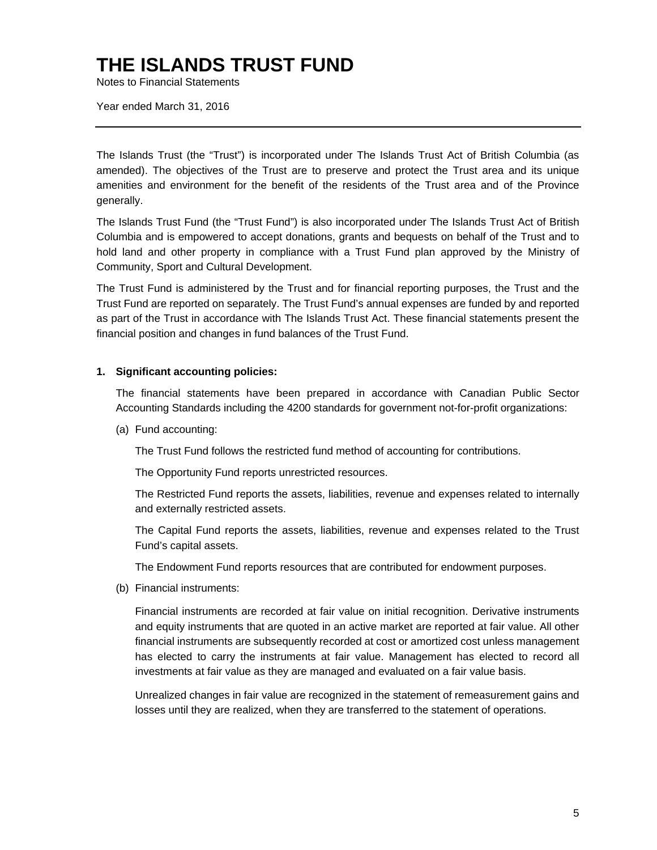Notes to Financial Statements

Year ended March 31, 2016

The Islands Trust (the "Trust") is incorporated under The Islands Trust Act of British Columbia (as amended). The objectives of the Trust are to preserve and protect the Trust area and its unique amenities and environment for the benefit of the residents of the Trust area and of the Province generally.

The Islands Trust Fund (the "Trust Fund") is also incorporated under The Islands Trust Act of British Columbia and is empowered to accept donations, grants and bequests on behalf of the Trust and to hold land and other property in compliance with a Trust Fund plan approved by the Ministry of Community, Sport and Cultural Development.

The Trust Fund is administered by the Trust and for financial reporting purposes, the Trust and the Trust Fund are reported on separately. The Trust Fund's annual expenses are funded by and reported as part of the Trust in accordance with The Islands Trust Act. These financial statements present the financial position and changes in fund balances of the Trust Fund.

#### **1. Significant accounting policies:**

The financial statements have been prepared in accordance with Canadian Public Sector Accounting Standards including the 4200 standards for government not-for-profit organizations:

(a) Fund accounting:

The Trust Fund follows the restricted fund method of accounting for contributions.

The Opportunity Fund reports unrestricted resources.

The Restricted Fund reports the assets, liabilities, revenue and expenses related to internally and externally restricted assets.

The Capital Fund reports the assets, liabilities, revenue and expenses related to the Trust Fund's capital assets.

The Endowment Fund reports resources that are contributed for endowment purposes.

(b) Financial instruments:

Financial instruments are recorded at fair value on initial recognition. Derivative instruments and equity instruments that are quoted in an active market are reported at fair value. All other financial instruments are subsequently recorded at cost or amortized cost unless management has elected to carry the instruments at fair value. Management has elected to record all investments at fair value as they are managed and evaluated on a fair value basis.

Unrealized changes in fair value are recognized in the statement of remeasurement gains and losses until they are realized, when they are transferred to the statement of operations.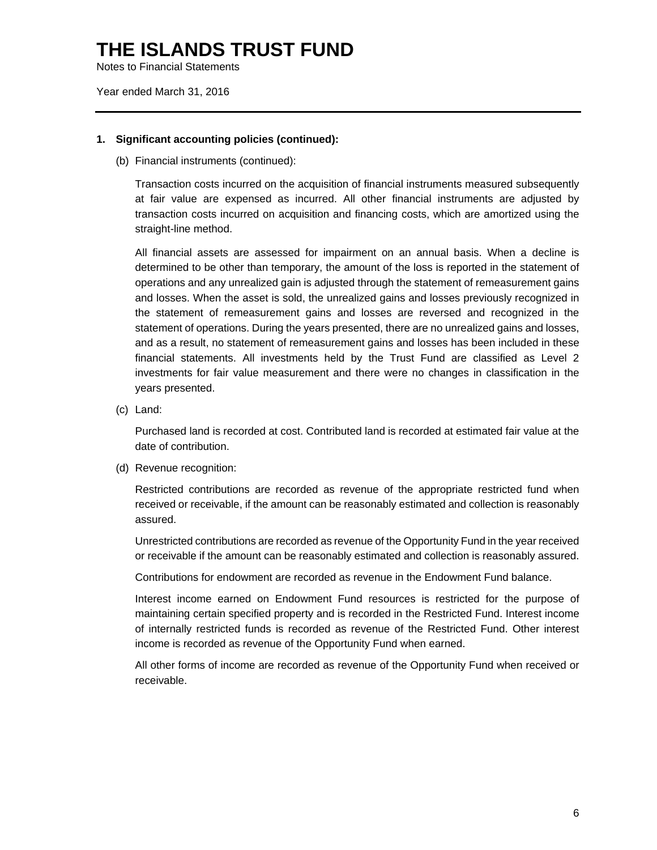Notes to Financial Statements

Year ended March 31, 2016

#### **1. Significant accounting policies (continued):**

(b) Financial instruments (continued):

Transaction costs incurred on the acquisition of financial instruments measured subsequently at fair value are expensed as incurred. All other financial instruments are adjusted by transaction costs incurred on acquisition and financing costs, which are amortized using the straight-line method.

All financial assets are assessed for impairment on an annual basis. When a decline is determined to be other than temporary, the amount of the loss is reported in the statement of operations and any unrealized gain is adjusted through the statement of remeasurement gains and losses. When the asset is sold, the unrealized gains and losses previously recognized in the statement of remeasurement gains and losses are reversed and recognized in the statement of operations. During the years presented, there are no unrealized gains and losses, and as a result, no statement of remeasurement gains and losses has been included in these financial statements. All investments held by the Trust Fund are classified as Level 2 investments for fair value measurement and there were no changes in classification in the years presented.

(c) Land:

Purchased land is recorded at cost. Contributed land is recorded at estimated fair value at the date of contribution.

(d) Revenue recognition:

Restricted contributions are recorded as revenue of the appropriate restricted fund when received or receivable, if the amount can be reasonably estimated and collection is reasonably assured.

Unrestricted contributions are recorded as revenue of the Opportunity Fund in the year received or receivable if the amount can be reasonably estimated and collection is reasonably assured.

Contributions for endowment are recorded as revenue in the Endowment Fund balance.

Interest income earned on Endowment Fund resources is restricted for the purpose of maintaining certain specified property and is recorded in the Restricted Fund. Interest income of internally restricted funds is recorded as revenue of the Restricted Fund. Other interest income is recorded as revenue of the Opportunity Fund when earned.

All other forms of income are recorded as revenue of the Opportunity Fund when received or receivable.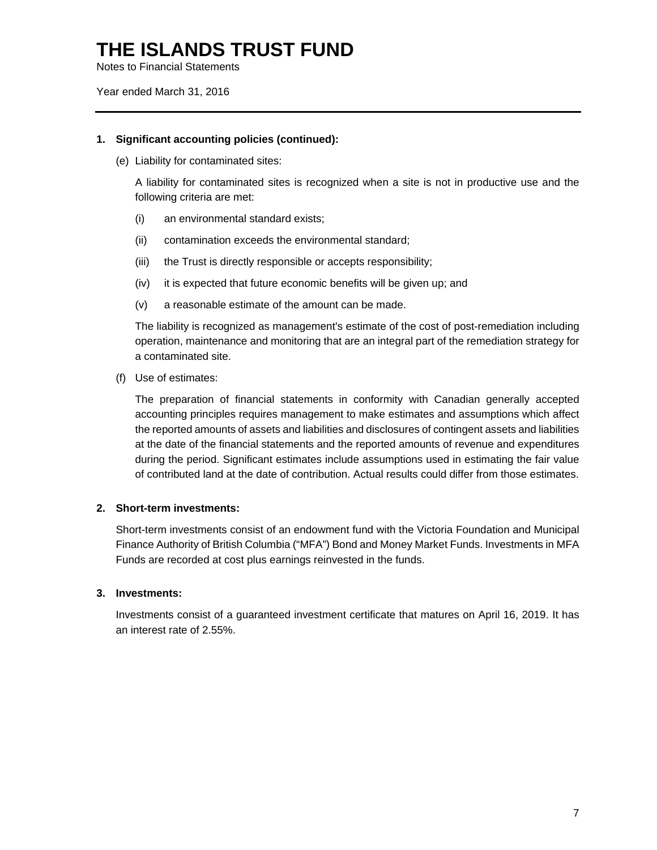Notes to Financial Statements

Year ended March 31, 2016

#### **1. Significant accounting policies (continued):**

(e) Liability for contaminated sites:

A liability for contaminated sites is recognized when a site is not in productive use and the following criteria are met:

- (i) an environmental standard exists;
- (ii) contamination exceeds the environmental standard;
- (iii) the Trust is directly responsible or accepts responsibility;
- (iv) it is expected that future economic benefits will be given up; and
- (v) a reasonable estimate of the amount can be made.

The liability is recognized as management's estimate of the cost of post-remediation including operation, maintenance and monitoring that are an integral part of the remediation strategy for a contaminated site.

(f) Use of estimates:

The preparation of financial statements in conformity with Canadian generally accepted accounting principles requires management to make estimates and assumptions which affect the reported amounts of assets and liabilities and disclosures of contingent assets and liabilities at the date of the financial statements and the reported amounts of revenue and expenditures during the period. Significant estimates include assumptions used in estimating the fair value of contributed land at the date of contribution. Actual results could differ from those estimates.

#### **2. Short-term investments:**

Short-term investments consist of an endowment fund with the Victoria Foundation and Municipal Finance Authority of British Columbia ("MFA") Bond and Money Market Funds. Investments in MFA Funds are recorded at cost plus earnings reinvested in the funds.

#### **3. Investments:**

Investments consist of a guaranteed investment certificate that matures on April 16, 2019. It has an interest rate of 2.55%.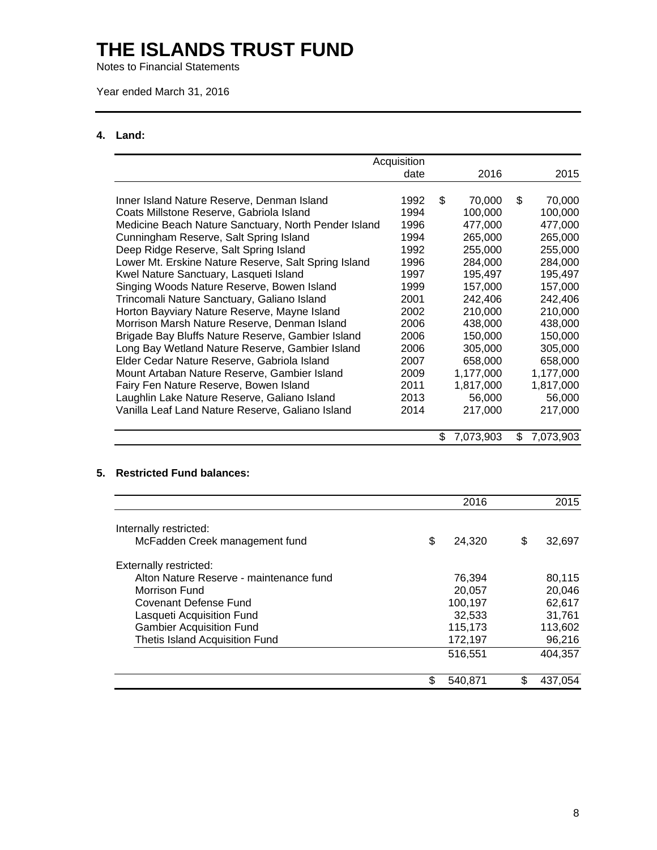Notes to Financial Statements

Year ended March 31, 2016

#### **4. Land:**

|                                                      | Acquisition |                 |                 |
|------------------------------------------------------|-------------|-----------------|-----------------|
|                                                      | date        | 2016            | 2015            |
|                                                      |             |                 |                 |
| Inner Island Nature Reserve, Denman Island           | 1992        | \$<br>70,000    | \$<br>70,000    |
| Coats Millstone Reserve, Gabriola Island             | 1994        | 100,000         | 100,000         |
| Medicine Beach Nature Sanctuary, North Pender Island | 1996        | 477,000         | 477,000         |
| Cunningham Reserve, Salt Spring Island               | 1994        | 265,000         | 265,000         |
| Deep Ridge Reserve, Salt Spring Island               | 1992        | 255,000         | 255,000         |
| Lower Mt. Erskine Nature Reserve, Salt Spring Island | 1996        | 284,000         | 284,000         |
| Kwel Nature Sanctuary, Lasqueti Island               | 1997        | 195,497         | 195,497         |
| Singing Woods Nature Reserve, Bowen Island           | 1999        | 157,000         | 157,000         |
| Trincomali Nature Sanctuary, Galiano Island          | 2001        | 242,406         | 242,406         |
| Horton Bayviary Nature Reserve, Mayne Island         | 2002        | 210,000         | 210,000         |
| Morrison Marsh Nature Reserve, Denman Island         | 2006        | 438,000         | 438,000         |
| Brigade Bay Bluffs Nature Reserve, Gambier Island    | 2006        | 150,000         | 150,000         |
| Long Bay Wetland Nature Reserve, Gambier Island      | 2006        | 305,000         | 305,000         |
| Elder Cedar Nature Reserve, Gabriola Island          | 2007        | 658,000         | 658,000         |
| Mount Artaban Nature Reserve, Gambier Island         | 2009        | 1,177,000       | 1,177,000       |
| Fairy Fen Nature Reserve, Bowen Island               | 2011        | 1,817,000       | 1,817,000       |
| Laughlin Lake Nature Reserve, Galiano Island         | 2013        | 56,000          | 56,000          |
| Vanilla Leaf Land Nature Reserve, Galiano Island     | 2014        | 217,000         | 217,000         |
|                                                      |             |                 |                 |
|                                                      |             | \$<br>7,073,903 | \$<br>7,073,903 |

#### **5. Restricted Fund balances:**

|                                         | 2016          | 2015         |
|-----------------------------------------|---------------|--------------|
| Internally restricted:                  |               |              |
| McFadden Creek management fund          | \$<br>24.320  | \$<br>32,697 |
| <b>Externally restricted:</b>           |               |              |
| Alton Nature Reserve - maintenance fund | 76.394        | 80,115       |
| Morrison Fund                           | 20.057        | 20,046       |
| <b>Covenant Defense Fund</b>            | 100,197       | 62,617       |
| Lasqueti Acquisition Fund               | 32,533        | 31,761       |
| <b>Gambier Acquisition Fund</b>         | 115,173       | 113,602      |
| <b>Thetis Island Acquisition Fund</b>   | 172,197       | \$<br>96,216 |
|                                         | 516,551       | 404,357      |
|                                         | \$<br>540,871 | 437.054      |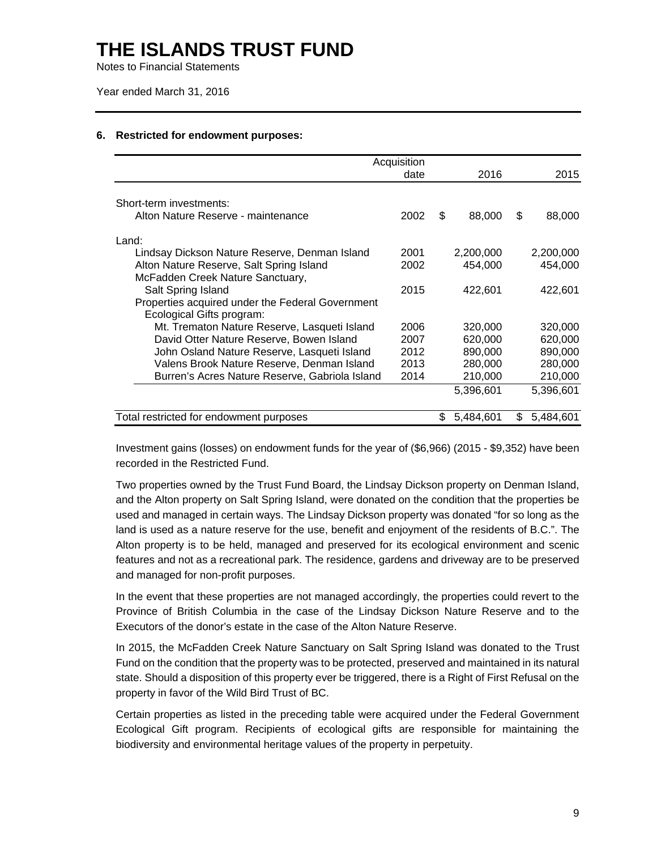Notes to Financial Statements

Year ended March 31, 2016

|                                                                               | Acquisition |                 |                 |
|-------------------------------------------------------------------------------|-------------|-----------------|-----------------|
|                                                                               | date        | 2016            | 2015            |
| Short-term investments:                                                       |             |                 |                 |
| Alton Nature Reserve - maintenance                                            | 2002        | \$<br>88,000    | \$<br>88,000    |
| Land:                                                                         |             |                 |                 |
| Lindsay Dickson Nature Reserve, Denman Island                                 | 2001        | 2,200,000       | 2,200,000       |
| Alton Nature Reserve, Salt Spring Island                                      | 2002        | 454,000         | 454,000         |
| McFadden Creek Nature Sanctuary,                                              |             |                 |                 |
| Salt Spring Island                                                            | 2015        | 422,601         | 422,601         |
| Properties acquired under the Federal Government<br>Ecological Gifts program: |             |                 |                 |
| Mt. Trematon Nature Reserve, Lasqueti Island                                  | 2006        | 320,000         | 320,000         |
| David Otter Nature Reserve, Bowen Island                                      | 2007        | 620,000         | 620,000         |
| John Osland Nature Reserve, Lasqueti Island                                   | 2012        | 890,000         | 890,000         |
| Valens Brook Nature Reserve, Denman Island                                    | 2013        | 280,000         | 280,000         |
| Burren's Acres Nature Reserve, Gabriola Island                                | 2014        | 210,000         | 210,000         |
|                                                                               |             | 5,396,601       | 5,396,601       |
| Total restricted for endowment purposes                                       |             | \$<br>5,484,601 | \$<br>5,484,601 |

#### **6. Restricted for endowment purposes:**

Investment gains (losses) on endowment funds for the year of (\$6,966) (2015 - \$9,352) have been recorded in the Restricted Fund.

Two properties owned by the Trust Fund Board, the Lindsay Dickson property on Denman Island, and the Alton property on Salt Spring Island, were donated on the condition that the properties be used and managed in certain ways. The Lindsay Dickson property was donated "for so long as the land is used as a nature reserve for the use, benefit and enjoyment of the residents of B.C.". The Alton property is to be held, managed and preserved for its ecological environment and scenic features and not as a recreational park. The residence, gardens and driveway are to be preserved and managed for non-profit purposes.

In the event that these properties are not managed accordingly, the properties could revert to the Province of British Columbia in the case of the Lindsay Dickson Nature Reserve and to the Executors of the donor's estate in the case of the Alton Nature Reserve.

In 2015, the McFadden Creek Nature Sanctuary on Salt Spring Island was donated to the Trust Fund on the condition that the property was to be protected, preserved and maintained in its natural state. Should a disposition of this property ever be triggered, there is a Right of First Refusal on the property in favor of the Wild Bird Trust of BC.

Certain properties as listed in the preceding table were acquired under the Federal Government Ecological Gift program. Recipients of ecological gifts are responsible for maintaining the biodiversity and environmental heritage values of the property in perpetuity.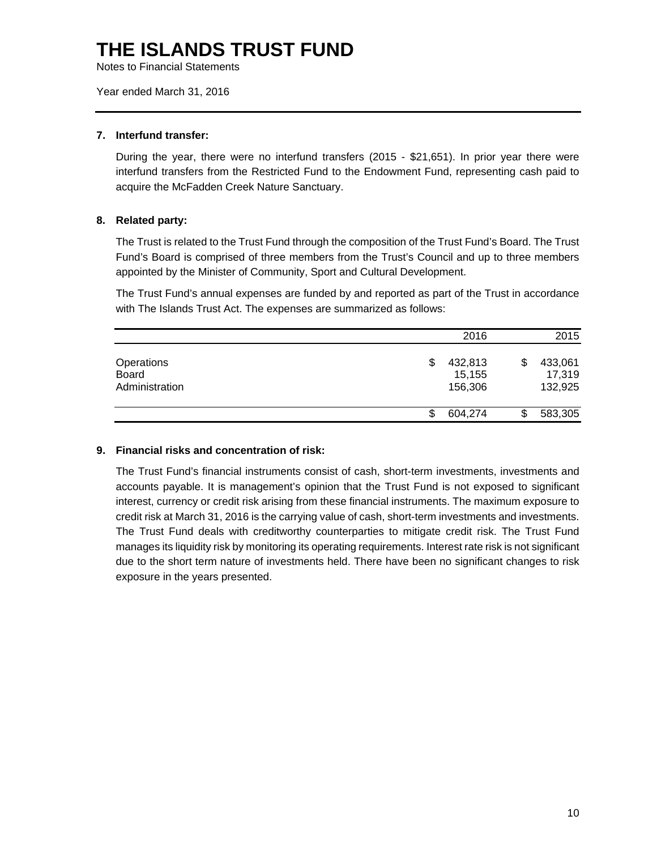Notes to Financial Statements

Year ended March 31, 2016

#### **7. Interfund transfer:**

During the year, there were no interfund transfers (2015 - \$21,651). In prior year there were interfund transfers from the Restricted Fund to the Endowment Fund, representing cash paid to acquire the McFadden Creek Nature Sanctuary.

#### **8. Related party:**

The Trust is related to the Trust Fund through the composition of the Trust Fund's Board. The Trust Fund's Board is comprised of three members from the Trust's Council and up to three members appointed by the Minister of Community, Sport and Cultural Development.

The Trust Fund's annual expenses are funded by and reported as part of the Trust in accordance with The Islands Trust Act. The expenses are summarized as follows:

|                                              | 2016                              | 2015                               |
|----------------------------------------------|-----------------------------------|------------------------------------|
| Operations<br><b>Board</b><br>Administration | 432,813<br>S<br>15,155<br>156,306 | 433,061<br>\$<br>17,319<br>132,925 |
|                                              | 604,274                           | 583,305<br>\$                      |

#### **9. Financial risks and concentration of risk:**

The Trust Fund's financial instruments consist of cash, short-term investments, investments and accounts payable. It is management's opinion that the Trust Fund is not exposed to significant interest, currency or credit risk arising from these financial instruments. The maximum exposure to credit risk at March 31, 2016 is the carrying value of cash, short-term investments and investments. The Trust Fund deals with creditworthy counterparties to mitigate credit risk. The Trust Fund manages its liquidity risk by monitoring its operating requirements. Interest rate risk is not significant due to the short term nature of investments held. There have been no significant changes to risk exposure in the years presented.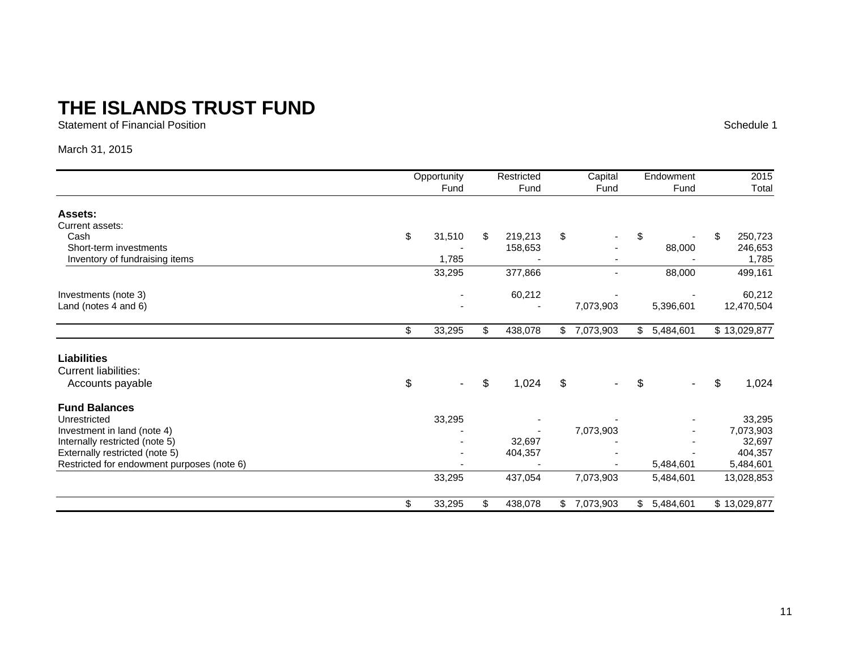Statement of Financial Position

Schedule 1

#### March 31, 2015

|                                            | Opportunity |        | Restricted    |    | Capital        | Endowment       |    | 2015         |
|--------------------------------------------|-------------|--------|---------------|----|----------------|-----------------|----|--------------|
|                                            |             | Fund   | Fund          |    | Fund           | Fund            |    | Total        |
| Assets:                                    |             |        |               |    |                |                 |    |              |
| Current assets:                            |             |        |               |    |                |                 |    |              |
| Cash                                       | \$          | 31,510 | \$<br>219,213 | \$ |                | \$              | S. | 250,723      |
| Short-term investments                     |             |        | 158,653       |    |                | 88,000          |    | 246,653      |
| Inventory of fundraising items             |             | 1,785  |               |    |                |                 |    | 1,785        |
|                                            |             | 33,295 | 377,866       |    | $\overline{a}$ | 88,000          |    | 499,161      |
| Investments (note 3)                       |             |        | 60,212        |    |                |                 |    | 60,212       |
| Land (notes 4 and 6)                       |             |        |               |    | 7,073,903      | 5,396,601       |    | 12,470,504   |
|                                            | \$          | 33,295 | \$<br>438,078 |    | \$7,073,903    | \$<br>5,484,601 |    | \$13,029,877 |
| <b>Liabilities</b>                         |             |        |               |    |                |                 |    |              |
| <b>Current liabilities:</b>                |             |        |               |    |                |                 |    |              |
| Accounts payable                           | \$          |        | \$<br>1,024   | \$ |                | \$              | \$ | 1,024        |
| <b>Fund Balances</b>                       |             |        |               |    |                |                 |    |              |
| Unrestricted                               |             | 33,295 |               |    |                |                 |    | 33,295       |
| Investment in land (note 4)                |             |        |               |    | 7,073,903      |                 |    | 7,073,903    |
| Internally restricted (note 5)             |             |        | 32,697        |    |                |                 |    | 32,697       |
| Externally restricted (note 5)             |             |        | 404,357       |    |                |                 |    | 404,357      |
| Restricted for endowment purposes (note 6) |             |        |               |    |                | 5,484,601       |    | 5,484,601    |
|                                            |             | 33,295 | 437,054       |    | 7,073,903      | 5,484,601       |    | 13,028,853   |
|                                            | \$          | 33,295 | \$<br>438,078 | \$ | 7,073,903      | \$<br>5,484,601 |    | \$13,029,877 |